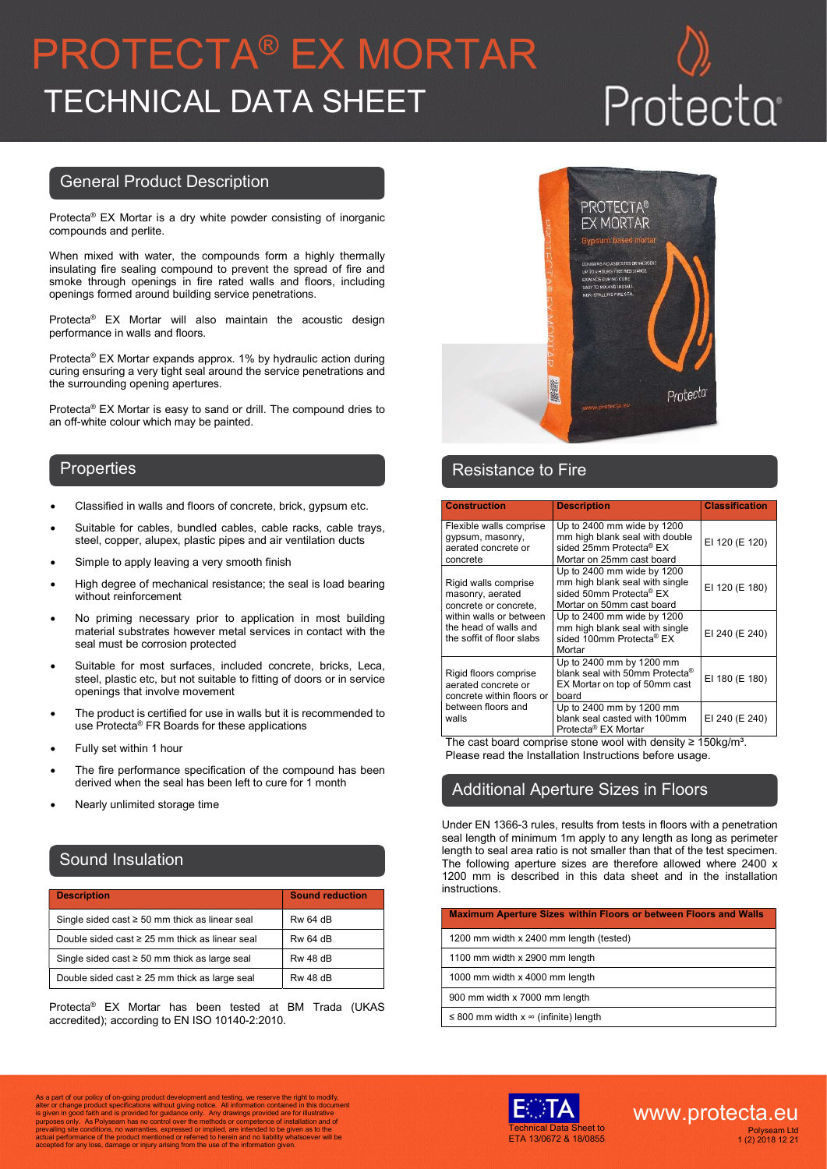# PROTECTA® EX MORTAR TECHNICAL DATA SHEET

### General Product Description

Protecta® EX Mortar is a dry white powder consisting of inorganic compounds and perlite.

When mixed with water, the compounds form a highly thermally insulating fire sealing compound to prevent the spread of fire and smoke through openings in fire rated walls and floors, including openings formed around building service penetrations.

Protecta® EX Mortar will also maintain the acoustic design performance in walls and floors.

Protecta® EX Mortar expands approx. 1% by hydraulic action during curing ensuring a very tight seal around the service penetrations and the surrounding opening apertures.

Protecta® EX Mortar is easy to sand or drill. The compound dries to an off-white colour which may be painted.

- Classified in walls and floors of concrete, brick, gypsum etc.
- Suitable for cables, bundled cables, cable racks, cable trays, steel, copper, alupex, plastic pipes and air ventilation ducts
- Simple to apply leaving a very smooth finish
- High degree of mechanical resistance; the seal is load bearing without reinforcement
- No priming necessary prior to application in most building material substrates however metal services in contact with the seal must be corrosion protected
- Suitable for most surfaces, included concrete, bricks, Leca, steel, plastic etc, but not suitable to fitting of doors or in service openings that involve movement
- The product is certified for use in walls but it is recommended to use Protecta® FR Boards for these applications
- Fully set within 1 hour
- The fire performance specification of the compound has been derived when the seal has been left to cure for 1 month
- Nearly unlimited storage time

### Sound Insulation

| <b>Description</b>                                  | <b>Sound reduction</b> |
|-----------------------------------------------------|------------------------|
| Single sided cast $\geq$ 50 mm thick as linear seal | <b>Rw 64 dB</b>        |
| Double sided cast $\geq 25$ mm thick as linear seal | <b>Rw 64 dB</b>        |
| Single sided cast $\geq$ 50 mm thick as large seal  | <b>Rw 48 dB</b>        |
| Double sided cast $\geq$ 25 mm thick as large seal  | <b>Rw 48 dB</b>        |

Protecta® EX Mortar has been tested at BM Trada (UKAS accredited); according to EN ISO 10140-2:2010.



### Properties **Resistance to Fire Resistance to Fire**

| <b>Construction</b>                                                            | <b>Description</b>                                                                                                       | <b>Classification</b> |
|--------------------------------------------------------------------------------|--------------------------------------------------------------------------------------------------------------------------|-----------------------|
| Flexible walls comprise<br>qypsum, masonry,<br>aerated concrete or<br>concrete | Up to $2400$ mm wide by $1200$<br>mm high blank seal with double<br>sided 25mm Protecta® EX<br>Mortar on 25mm cast board | EI 120 (E 120)        |
| Rigid walls comprise<br>masonry, aerated<br>concrete or concrete,              | Up to 2400 mm wide by 1200<br>mm high blank seal with single<br>sided 50mm Protecta® EX<br>Mortar on 50mm cast board     | EI 120 (E 180)        |
| within walls or between<br>the head of walls and<br>the soffit of floor slabs  | Up to 2400 mm wide by 1200<br>mm high blank seal with single<br>sided 100mm Protecta® EX<br>Mortar                       | EI 240 (E 240)        |
| Rigid floors comprise<br>aerated concrete or<br>concrete within floors or      | Up to 2400 mm by 1200 mm<br>blank seal with 50mm Protecta®<br>EX Mortar on top of 50mm cast<br>board                     | EI 180 (E 180)        |
| between floors and<br>walls                                                    | Up to 2400 mm by 1200 mm<br>blank seal casted with 100mm<br>Protecta <sup>®</sup> EX Mortar                              | EI 240 (E 240)        |

The cast board comprise stone wool with density  $\geq 150 \text{kg/m}^3$ . Please read the Installation Instructions before usage.

# Additional Aperture Sizes in Floors

Under EN 1366-3 rules, results from tests in floors with a penetration seal length of minimum 1m apply to any length as long as perimeter length to seal area ratio is not smaller than that of the test specimen. The following aperture sizes are therefore allowed where 2400 x 1200 mm is described in this data sheet and in the installation instructions.

| <b>Maximum Aperture Sizes within Floors or between Floors and Walls</b> |
|-------------------------------------------------------------------------|
| 1200 mm width x 2400 mm length (tested)                                 |
| 1100 mm width x 2900 mm length                                          |
| 1000 mm width x 4000 mm length                                          |
| 900 mm width x 7000 mm length                                           |
| $\leq$ 800 mm width x $\infty$ (infinite) length                        |

As a part of our policy of on-going product development and testing, we reserve the right to modify,<br>alter or change product specifications without giving notice. All information contained in this document<br>is given in good